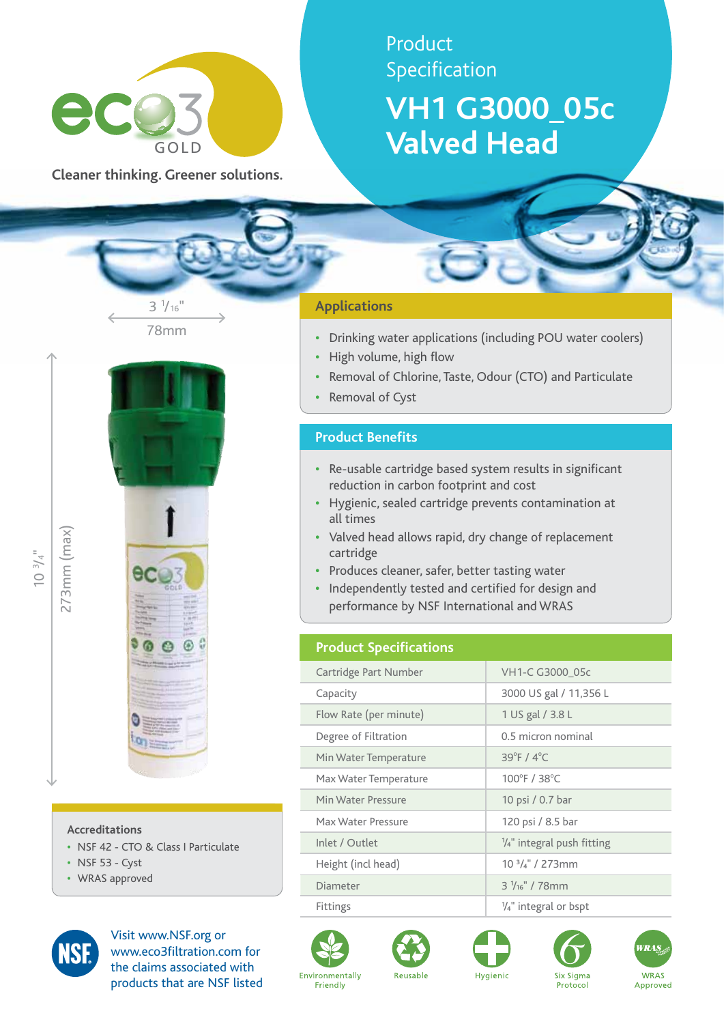

**Cleaner thinking. Greener solutions.**

# Product Specification

# **VH1 G3000\_05c Valved Head**

# 78mm  $3\frac{1}{16}$ "



#### **Accreditations**

- **•**  NSF 42 CTO & Class I Particulate
- **•**  NSF 53 Cyst
- **•**  WRAS approved



Visit www.NSF.org or www.eco3filtration.com for the claims associated with products that are NSF listed

## **Applications**

- **•**  Drinking water applications (including POU water coolers)
- **High volume, high flow**
- **•**  Removal of Chlorine, Taste, Odour (CTO) and Particulate
- **Removal of Cyst**

## **Product Benefits**

- **•**  Re-usable cartridge based system results in significant reduction in carbon footprint and cost
- **•**  Hygienic, sealed cartridge prevents contamination at all times
- **•**  Valved head allows rapid, dry change of replacement cartridge
- **•**  Produces cleaner, safer, better tasting water
- **•**  Independently tested and certified for design and performance by NSF International and WRAS

# **Product Specifications**

| Cartridge Part Number  | VH1-C G3000_05c                       |
|------------------------|---------------------------------------|
| Capacity               | 3000 US gal / 11,356 L                |
| Flow Rate (per minute) | 1 US gal / 3.8 L                      |
| Degree of Filtration   | 0.5 micron nominal                    |
| Min Water Temperature  | $39^{\circ}$ F / $4^{\circ}$ C        |
| Max Water Temperature  | 100°F / 38°C                          |
| Min Water Pressure     | 10 psi / 0.7 bar                      |
| Max Water Pressure     | 120 psi / 8.5 bar                     |
| Inlet / Outlet         | $\frac{1}{4}$ " integral push fitting |
| Height (incl head)     | $103/4$ " / 273mm                     |
| Diameter               | $3\frac{1}{16}$ " / 78mm              |
| Fittings               | $\frac{1}{4}$ " integral or bspt      |











273mm (max)

273mm (max)